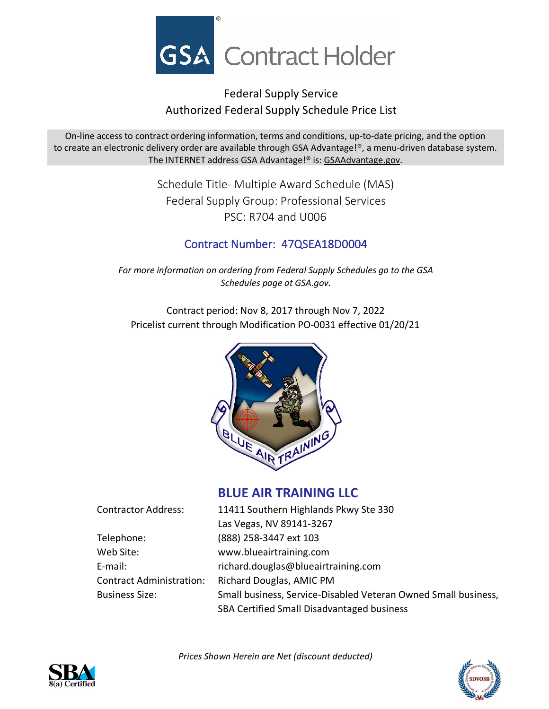

# Federal Supply Service Authorized Federal Supply Schedule Price List

On-line access to contract ordering information, terms and conditions, up-to-date pricing, and the option to create an electronic delivery order are available through GSA Advantage!®, a menu-driven database system. The INTERNET address GSA Advantage!® is: GSAAdvantage.gov.

> Schedule Title- Multiple Award Schedule (MAS) Federal Supply Group: Professional Services PSC: R704 and U006

# Contract Number: 47QSEA18D0004

*For more information on ordering from Federal Supply Schedules go to the GSA Schedules page at GSA.gov.*

Contract period: Nov 8, 2017 through Nov 7, 2022 Pricelist current through Modification PO-0031 effective 01/20/21



## **BLUE AIR TRAINING LLC**

| <b>Contractor Address:</b>      | 11411 Southern Highlands Pkwy Ste 330                          |
|---------------------------------|----------------------------------------------------------------|
|                                 | Las Vegas, NV 89141-3267                                       |
| Telephone:                      | (888) 258-3447 ext 103                                         |
| Web Site:                       | www.blueairtraining.com                                        |
| E-mail:                         | richard.douglas@blueairtraining.com                            |
| <b>Contract Administration:</b> | Richard Douglas, AMIC PM                                       |
| <b>Business Size:</b>           | Small business, Service-Disabled Veteran Owned Small business, |
|                                 | SBA Certified Small Disadvantaged business                     |

*Prices Shown Herein are Net (discount deducted)*



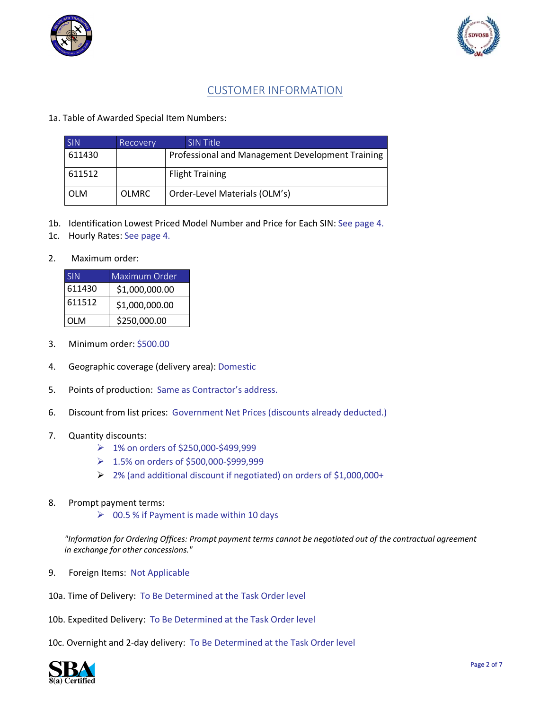



### CUSTOMER INFORMATION

### 1a. Table of Awarded Special Item Numbers:

| <b>SIN</b> | Recovery     | <b>SIN Title</b>                                 |
|------------|--------------|--------------------------------------------------|
| 611430     |              | Professional and Management Development Training |
| 611512     |              | <b>Flight Training</b>                           |
| <b>OLM</b> | <b>OLMRC</b> | Order-Level Materials (OLM's)                    |

- 1b. Identification Lowest Priced Model Number and Price for Each SIN: See page 4.
- 1c. Hourly Rates: See page 4.

#### 2. Maximum order:

| SIN        | Maximum Order  |
|------------|----------------|
| 611430     | \$1,000,000.00 |
| 611512     | \$1,000,000.00 |
| <b>OLM</b> | \$250,000.00   |

- 3. Minimum order: \$500.00
- 4. Geographic coverage (delivery area): Domestic
- 5. Points of production: Same as Contractor's address.
- 6. Discount from list prices: Government Net Prices (discounts already deducted.)
- 7. Quantity discounts:
	- 1% on orders of \$250,000-\$499,999
	- 1.5% on orders of \$500,000-\$999,999
	- 2% (and additional discount if negotiated) on orders of \$1,000,000+
- 8. Prompt payment terms:
	- $\geqslant$  00.5 % if Payment is made within 10 days

*"Information for Ordering Offices: Prompt payment terms cannot be negotiated out of the contractual agreement in exchange for other concessions."*

- 9. Foreign Items: Not Applicable
- 10a. Time of Delivery: To Be Determined at the Task Order level
- 10b. Expedited Delivery: To Be Determined at the Task Order level
- 10c. Overnight and 2-day delivery: To Be Determined at the Task Order level

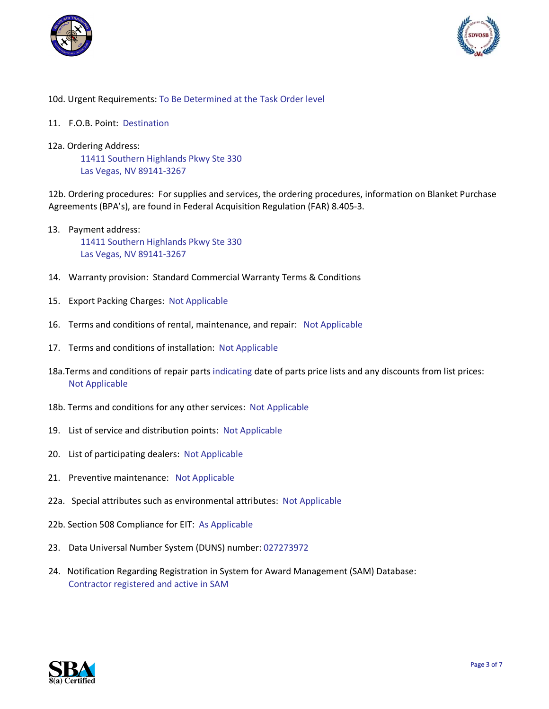



### 10d. Urgent Requirements: To Be Determined at the Task Order level

- 11. F.O.B. Point: Destination
- 12a. Ordering Address:

11411 Southern Highlands Pkwy Ste 330 Las Vegas, NV 89141-3267

12b. Ordering procedures: For supplies and services, the ordering procedures, information on Blanket Purchase Agreements (BPA's), are found in Federal Acquisition Regulation (FAR) 8.405-3.

- 13. Payment address: 11411 Southern Highlands Pkwy Ste 330 Las Vegas, NV 89141-3267
- 14. Warranty provision: Standard Commercial Warranty Terms & Conditions
- 15. Export Packing Charges: Not Applicable
- 16. Terms and conditions of rental, maintenance, and repair: Not Applicable
- 17. Terms and conditions of installation: Not Applicable
- 18a.Terms and conditions of repair parts indicating date of parts price lists and any discounts from list prices: Not Applicable
- 18b. Terms and conditions for any other services: Not Applicable
- 19. List of service and distribution points: Not Applicable
- 20. List of participating dealers: Not Applicable
- 21. Preventive maintenance: Not Applicable
- 22a. Special attributes such as environmental attributes: Not Applicable
- 22b. Section 508 Compliance for EIT: As Applicable
- 23. Data Universal Number System (DUNS) number: 027273972
- 24. Notification Regarding Registration in System for Award Management (SAM) Database: Contractor registered and active in SAM

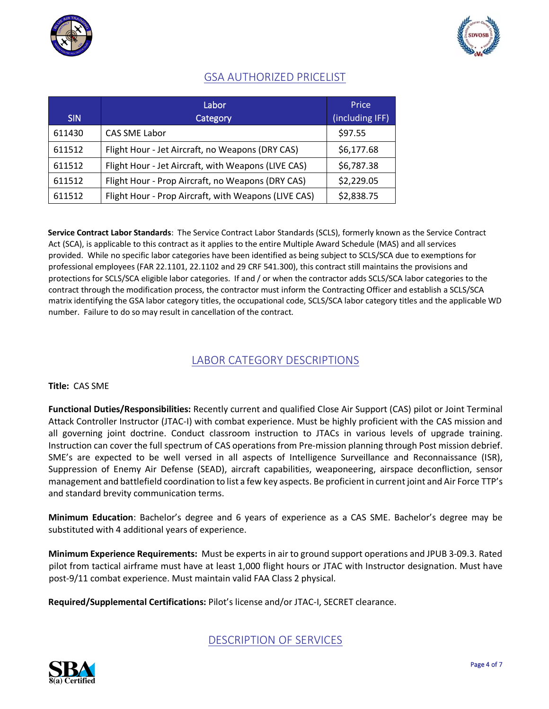



## GSA AUTHORIZED PRICELIST

|        | Labor                                                | Price           |
|--------|------------------------------------------------------|-----------------|
| SIN.   | Category                                             | (including IFF) |
| 611430 | <b>CAS SME Labor</b>                                 | \$97.55         |
| 611512 | Flight Hour - Jet Aircraft, no Weapons (DRY CAS)     | \$6,177.68      |
| 611512 | Flight Hour - Jet Aircraft, with Weapons (LIVE CAS)  | \$6,787.38      |
| 611512 | Flight Hour - Prop Aircraft, no Weapons (DRY CAS)    | \$2,229.05      |
| 611512 | Flight Hour - Prop Aircraft, with Weapons (LIVE CAS) | \$2,838.75      |

**Service Contract Labor Standards**: The Service Contract Labor Standards (SCLS), formerly known as the Service Contract Act (SCA), is applicable to this contract as it applies to the entire Multiple Award Schedule (MAS) and all services provided. While no specific labor categories have been identified as being subject to SCLS/SCA due to exemptions for professional employees (FAR 22.1101, 22.1102 and 29 CRF 541.300), this contract still maintains the provisions and protections for SCLS/SCA eligible labor categories. If and / or when the contractor adds SCLS/SCA labor categories to the contract through the modification process, the contractor must inform the Contracting Officer and establish a SCLS/SCA matrix identifying the GSA labor category titles, the occupational code, SCLS/SCA labor category titles and the applicable WD number. Failure to do so may result in cancellation of the contract.

### LABOR CATEGORY DESCRIPTIONS

### **Title:** CAS SME

**Functional Duties/Responsibilities:** Recently current and qualified Close Air Support (CAS) pilot or Joint Terminal Attack Controller Instructor (JTAC-I) with combat experience. Must be highly proficient with the CAS mission and all governing joint doctrine. Conduct classroom instruction to JTACs in various levels of upgrade training. Instruction can cover the full spectrum of CAS operations from Pre-mission planning through Post mission debrief. SME's are expected to be well versed in all aspects of Intelligence Surveillance and Reconnaissance (ISR), Suppression of Enemy Air Defense (SEAD), aircraft capabilities, weaponeering, airspace deconfliction, sensor management and battlefield coordination to list a few key aspects. Be proficient in current joint and Air Force TTP's and standard brevity communication terms.

**Minimum Education**: Bachelor's degree and 6 years of experience as a CAS SME. Bachelor's degree may be substituted with 4 additional years of experience.

**Minimum Experience Requirements:** Must be experts in air to ground support operations and JPUB 3-09.3. Rated pilot from tactical airframe must have at least 1,000 flight hours or JTAC with Instructor designation. Must have post-9/11 combat experience. Must maintain valid FAA Class 2 physical.

**Required/Supplemental Certifications:** Pilot's license and/or JTAC-I, SECRET clearance.

DESCRIPTION OF SERVICES

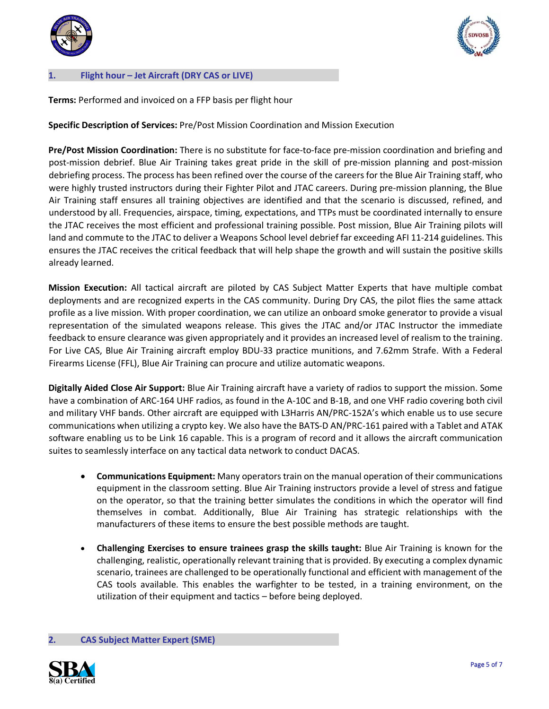



#### **1. Flight hour – Jet Aircraft (DRY CAS or LIVE)**

**Terms:** Performed and invoiced on a FFP basis per flight hour

### **Specific Description of Services:** Pre/Post Mission Coordination and Mission Execution

**Pre/Post Mission Coordination:** There is no substitute for face-to-face pre-mission coordination and briefing and post-mission debrief. Blue Air Training takes great pride in the skill of pre-mission planning and post-mission debriefing process. The process has been refined over the course of the careers for the Blue Air Training staff, who were highly trusted instructors during their Fighter Pilot and JTAC careers. During pre-mission planning, the Blue Air Training staff ensures all training objectives are identified and that the scenario is discussed, refined, and understood by all. Frequencies, airspace, timing, expectations, and TTPs must be coordinated internally to ensure the JTAC receives the most efficient and professional training possible. Post mission, Blue Air Training pilots will land and commute to the JTAC to deliver a Weapons School level debrief far exceeding AFI 11-214 guidelines. This ensures the JTAC receives the critical feedback that will help shape the growth and will sustain the positive skills already learned.

**Mission Execution:** All tactical aircraft are piloted by CAS Subject Matter Experts that have multiple combat deployments and are recognized experts in the CAS community. During Dry CAS, the pilot flies the same attack profile as a live mission. With proper coordination, we can utilize an onboard smoke generator to provide a visual representation of the simulated weapons release. This gives the JTAC and/or JTAC Instructor the immediate feedback to ensure clearance was given appropriately and it provides an increased level of realism to the training. For Live CAS, Blue Air Training aircraft employ BDU-33 practice munitions, and 7.62mm Strafe. With a Federal Firearms License (FFL), Blue Air Training can procure and utilize automatic weapons.

**Digitally Aided Close Air Support:** Blue Air Training aircraft have a variety of radios to support the mission. Some have a combination of ARC-164 UHF radios, as found in the A-10C and B-1B, and one VHF radio covering both civil and military VHF bands. Other aircraft are equipped with L3Harris AN/PRC-152A's which enable us to use secure communications when utilizing a crypto key. We also have the BATS-D AN/PRC-161 paired with a Tablet and ATAK software enabling us to be Link 16 capable. This is a program of record and it allows the aircraft communication suites to seamlessly interface on any tactical data network to conduct DACAS.

- **Communications Equipment:** Many operators train on the manual operation of their communications equipment in the classroom setting. Blue Air Training instructors provide a level of stress and fatigue on the operator, so that the training better simulates the conditions in which the operator will find themselves in combat. Additionally, Blue Air Training has strategic relationships with the manufacturers of these items to ensure the best possible methods are taught.
- **Challenging Exercises to ensure trainees grasp the skills taught:** Blue Air Training is known for the challenging, realistic, operationally relevant training that is provided. By executing a complex dynamic scenario, trainees are challenged to be operationally functional and efficient with management of the CAS tools available. This enables the warfighter to be tested, in a training environment, on the utilization of their equipment and tactics – before being deployed.

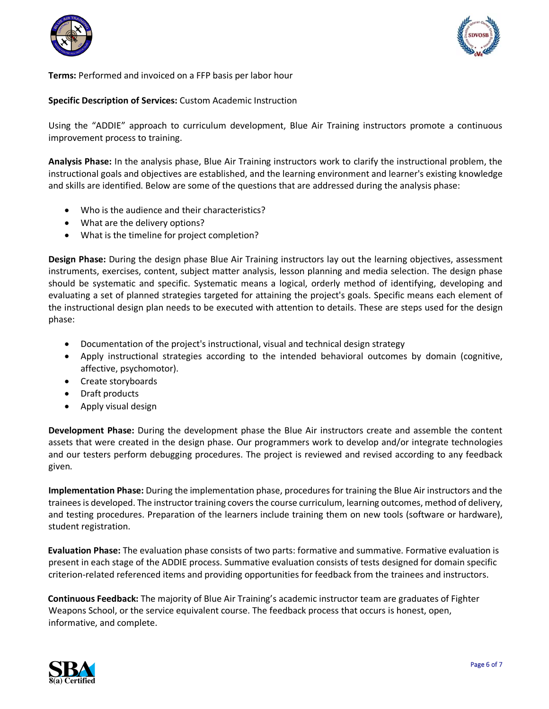



**Terms:** Performed and invoiced on a FFP basis per labor hour

### **Specific Description of Services:** Custom Academic Instruction

Using the "ADDIE" approach to curriculum development, Blue Air Training instructors promote a continuous improvement process to training.

**Analysis Phase:** In the analysis phase, Blue Air Training instructors work to clarify the instructional problem, the instructional goals and objectives are established, and the learning environment and learner's existing knowledge and skills are identified. Below are some of the questions that are addressed during the analysis phase:

- Who is the audience and their characteristics?
- What are the delivery options?
- What is the timeline for project completion?

**Design Phase:** During the design phase Blue Air Training instructors lay out the learning objectives, assessment instruments, exercises, content, subject matter analysis, lesson planning and media selection. The design phase should be systematic and specific. Systematic means a logical, orderly method of identifying, developing and evaluating a set of planned strategies targeted for attaining the project's goals. Specific means each element of the instructional design plan needs to be executed with attention to details. These are steps used for the design phase:

- Documentation of the project's instructional, visual and technical design strategy
- Apply instructional strategies according to the intended behavioral outcomes by domain (cognitive, affective, psychomotor).
- Create storyboards
- Draft products
- Apply visual design

**Development Phase:** During the development phase the Blue Air instructors create and assemble the content assets that were created in the design phase. Our programmers work to develop and/or integrate technologies and our testers perform debugging procedures. The project is reviewed and revised according to any feedback given.

**Implementation Phase:** During the implementation phase, procedures for training the Blue Air instructors and the trainees is developed. The instructor training covers the course curriculum, learning outcomes, method of delivery, and testing procedures. Preparation of the learners include training them on new tools (software or hardware), student registration.

**Evaluation Phase:** The evaluation phase consists of two parts: formative and summative. Formative evaluation is present in each stage of the ADDIE process. Summative evaluation consists of tests designed for domain specific criterion-related referenced items and providing opportunities for feedback from the trainees and instructors.

**Continuous Feedback:** The majority of Blue Air Training's academic instructor team are graduates of Fighter Weapons School, or the service equivalent course. The feedback process that occurs is honest, open, informative, and complete.